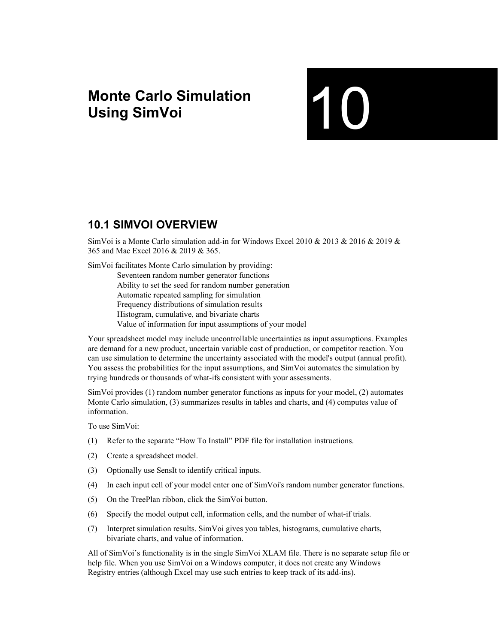# **Monte Carlo Simulation**  Monte Carlo Simulation<br>Using SimVoi

## **10.1 SIMVOI OVERVIEW**

SimVoi is a Monte Carlo simulation add-in for Windows Excel 2010 & 2013 & 2016 & 2019 & 365 and Mac Excel 2016 & 2019 & 365.

SimVoi facilitates Monte Carlo simulation by providing:

 Seventeen random number generator functions Ability to set the seed for random number generation Automatic repeated sampling for simulation Frequency distributions of simulation results Histogram, cumulative, and bivariate charts Value of information for input assumptions of your model

Your spreadsheet model may include uncontrollable uncertainties as input assumptions. Examples are demand for a new product, uncertain variable cost of production, or competitor reaction. You can use simulation to determine the uncertainty associated with the model's output (annual profit). You assess the probabilities for the input assumptions, and SimVoi automates the simulation by trying hundreds or thousands of what-ifs consistent with your assessments.

SimVoi provides (1) random number generator functions as inputs for your model, (2) automates Monte Carlo simulation, (3) summarizes results in tables and charts, and (4) computes value of information.

To use SimVoi:

- (1) Refer to the separate "How To Install" PDF file for installation instructions.
- (2) Create a spreadsheet model.
- (3) Optionally use SensIt to identify critical inputs.
- (4) In each input cell of your model enter one of SimVoi's random number generator functions.
- (5) On the TreePlan ribbon, click the SimVoi button.
- (6) Specify the model output cell, information cells, and the number of what-if trials.
- (7) Interpret simulation results. SimVoi gives you tables, histograms, cumulative charts, bivariate charts, and value of information.

All of SimVoi's functionality is in the single SimVoi XLAM file. There is no separate setup file or help file. When you use SimVoi on a Windows computer, it does not create any Windows Registry entries (although Excel may use such entries to keep track of its add-ins).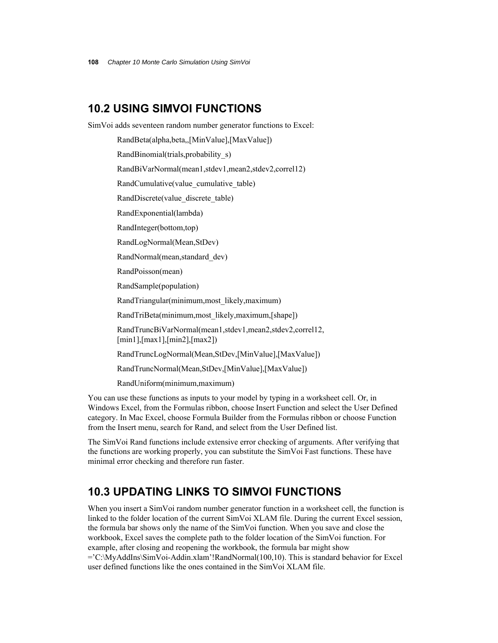### **10.2 USING SIMVOI FUNCTIONS**

SimVoi adds seventeen random number generator functions to Excel:

RandBeta(alpha,beta,,[MinValue],[MaxValue])

RandBinomial(trials,probability\_s)

RandBiVarNormal(mean1,stdev1,mean2,stdev2,correl12)

RandCumulative(value\_cumulative\_table)

RandDiscrete(value\_discrete\_table)

RandExponential(lambda)

RandInteger(bottom,top)

RandLogNormal(Mean,StDev)

RandNormal(mean,standard\_dev)

RandPoisson(mean)

RandSample(population)

RandTriangular(minimum,most\_likely,maximum)

RandTriBeta(minimum,most\_likely,maximum,[shape])

 RandTruncBiVarNormal(mean1,stdev1,mean2,stdev2,correl12, [min1],[max1],[min2],[max2])

RandTruncLogNormal(Mean,StDev,[MinValue],[MaxValue])

RandTruncNormal(Mean,StDev,[MinValue],[MaxValue])

RandUniform(minimum,maximum)

You can use these functions as inputs to your model by typing in a worksheet cell. Or, in Windows Excel, from the Formulas ribbon, choose Insert Function and select the User Defined category. In Mac Excel, choose Formula Builder from the Formulas ribbon or choose Function from the Insert menu, search for Rand, and select from the User Defined list.

The SimVoi Rand functions include extensive error checking of arguments. After verifying that the functions are working properly, you can substitute the SimVoi Fast functions. These have minimal error checking and therefore run faster.

### **10.3 UPDATING LINKS TO SIMVOI FUNCTIONS**

When you insert a SimVoi random number generator function in a worksheet cell, the function is linked to the folder location of the current SimVoi XLAM file. During the current Excel session, the formula bar shows only the name of the SimVoi function. When you save and close the workbook, Excel saves the complete path to the folder location of the SimVoi function. For example, after closing and reopening the workbook, the formula bar might show ='C:\MyAddIns\SimVoi-Addin.xlam'!RandNormal(100,10). This is standard behavior for Excel user defined functions like the ones contained in the SimVoi XLAM file.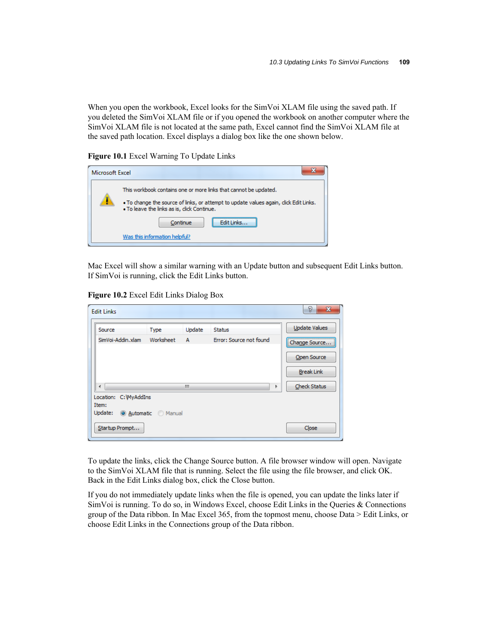When you open the workbook, Excel looks for the SimVoi XLAM file using the saved path. If you deleted the SimVoi XLAM file or if you opened the workbook on another computer where the SimVoi XLAM file is not located at the same path, Excel cannot find the SimVoi XLAM file at the saved path location. Excel displays a dialog box like the one shown below.

**Figure 10.1** Excel Warning To Update Links

| Microsoft Excel |                                                                                                                                                                                                                                                      |
|-----------------|------------------------------------------------------------------------------------------------------------------------------------------------------------------------------------------------------------------------------------------------------|
|                 | This workbook contains one or more links that cannot be updated.<br>. To change the source of links, or attempt to update values again, dick Edit Links.<br>. To leave the links as is, click Continue.<br>Continue<br>Was this information helpful? |

Mac Excel will show a similar warning with an Update button and subsequent Edit Links button. If SimVoi is running, click the Edit Links button.

**Figure 10.2** Excel Edit Links Dialog Box

| <b>Edit Links</b>              |                  |                |                         | 8<br>$\mathbf{x}$    |
|--------------------------------|------------------|----------------|-------------------------|----------------------|
| Source                         | <b>Type</b>      | Update         | <b>Status</b>           | <b>Update Values</b> |
| SimVoi-Addin.xlam              | Worksheet        | $\overline{A}$ | Error: Source not found | Change Source        |
|                                |                  |                |                         | Open Source          |
|                                |                  |                |                         | <b>Break Link</b>    |
|                                |                  | Ш              | Þ                       | <b>Check Status</b>  |
| Location: C: WyAddIns<br>Item: |                  |                |                         |                      |
| Update:                        | Automatic Manual |                |                         |                      |
| Startup Prompt                 |                  |                |                         | Close                |

To update the links, click the Change Source button. A file browser window will open. Navigate to the SimVoi XLAM file that is running. Select the file using the file browser, and click OK. Back in the Edit Links dialog box, click the Close button.

If you do not immediately update links when the file is opened, you can update the links later if SimVoi is running. To do so, in Windows Excel, choose Edit Links in the Queries & Connections group of the Data ribbon. In Mac Excel 365, from the topmost menu, choose Data > Edit Links, or choose Edit Links in the Connections group of the Data ribbon.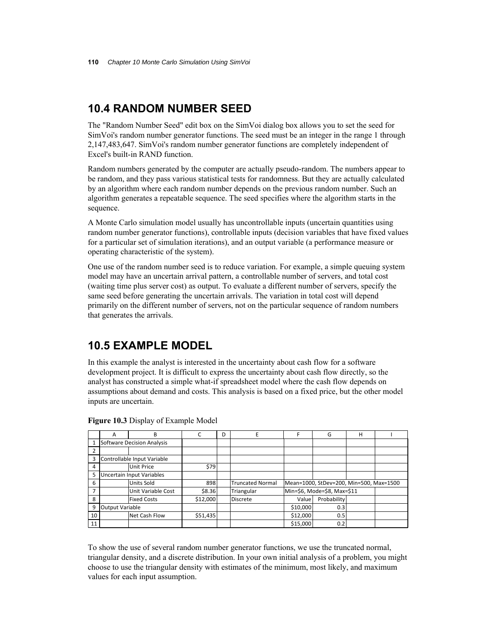### **10.4 RANDOM NUMBER SEED**

The "Random Number Seed" edit box on the SimVoi dialog box allows you to set the seed for SimVoi's random number generator functions. The seed must be an integer in the range 1 through 2,147,483,647. SimVoi's random number generator functions are completely independent of Excel's built-in RAND function.

Random numbers generated by the computer are actually pseudo-random. The numbers appear to be random, and they pass various statistical tests for randomness. But they are actually calculated by an algorithm where each random number depends on the previous random number. Such an algorithm generates a repeatable sequence. The seed specifies where the algorithm starts in the sequence.

A Monte Carlo simulation model usually has uncontrollable inputs (uncertain quantities using random number generator functions), controllable inputs (decision variables that have fixed values for a particular set of simulation iterations), and an output variable (a performance measure or operating characteristic of the system).

One use of the random number seed is to reduce variation. For example, a simple queuing system model may have an uncertain arrival pattern, a controllable number of servers, and total cost (waiting time plus server cost) as output. To evaluate a different number of servers, specify the same seed before generating the uncertain arrivals. The variation in total cost will depend primarily on the different number of servers, not on the particular sequence of random numbers that generates the arrivals.

### **10.5 EXAMPLE MODEL**

In this example the analyst is interested in the uncertainty about cash flow for a software development project. It is difficult to express the uncertainty about cash flow directly, so the analyst has constructed a simple what-if spreadsheet model where the cash flow depends on assumptions about demand and costs. This analysis is based on a fixed price, but the other model inputs are uncertain.

|    | А               | B                           | C        | D | F                       |          | G                                       | Н |  |
|----|-----------------|-----------------------------|----------|---|-------------------------|----------|-----------------------------------------|---|--|
|    |                 | Software Decision Analysis  |          |   |                         |          |                                         |   |  |
|    |                 |                             |          |   |                         |          |                                         |   |  |
| 3  |                 | Controllable Input Variable |          |   |                         |          |                                         |   |  |
| 4  |                 | Unit Price                  | \$79     |   |                         |          |                                         |   |  |
| 5  |                 | Uncertain Input Variables   |          |   |                         |          |                                         |   |  |
| 6  |                 | Units Sold                  | 898      |   | <b>Truncated Normal</b> |          | Mean=1000, StDev=200, Min=500, Max=1500 |   |  |
|    |                 | Unit Variable Cost          | \$8.36   |   | Triangular              |          | Min=\$6, Mode=\$8, Max=\$11             |   |  |
| 8  |                 | <b>Fixed Costs</b>          | \$12,000 |   | <b>Discrete</b>         | Value    | Probability                             |   |  |
| 9  | Output Variable |                             |          |   |                         | \$10,000 | 0.3                                     |   |  |
| 10 |                 | Net Cash Flow               | \$51,435 |   |                         | \$12,000 | 0.5                                     |   |  |
| 11 |                 |                             |          |   |                         | \$15,000 | 0.2                                     |   |  |

**Figure 10.3** Display of Example Model

To show the use of several random number generator functions, we use the truncated normal, triangular density, and a discrete distribution. In your own initial analysis of a problem, you might choose to use the triangular density with estimates of the minimum, most likely, and maximum values for each input assumption.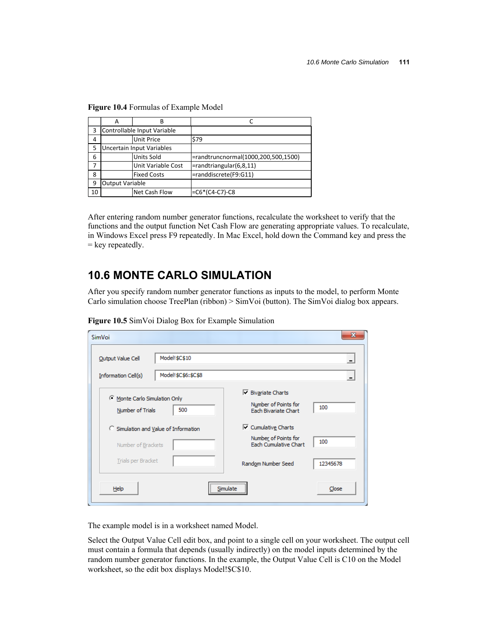|    | Α                      |                             |                                     |
|----|------------------------|-----------------------------|-------------------------------------|
| 3  |                        | Controllable Input Variable |                                     |
| 4  |                        | <b>Unit Price</b>           | \$79                                |
| 5  |                        | Uncertain Input Variables   |                                     |
| 6  |                        | <b>Units Sold</b>           | =randtruncnormal(1000,200,500,1500) |
|    |                        | Unit Variable Cost          | $=$ randtriangular $(6, 8, 11)$     |
| 8  |                        | <b>Fixed Costs</b>          | =randdiscrete(F9:G11)               |
| 9  | <b>Output Variable</b> |                             |                                     |
| 10 |                        | Net Cash Flow               | $= C6*(C4-C7)-C8$                   |

**Figure 10.4** Formulas of Example Model

After entering random number generator functions, recalculate the worksheet to verify that the functions and the output function Net Cash Flow are generating appropriate values. To recalculate, in Windows Excel press F9 repeatedly. In Mac Excel, hold down the Command key and press the = key repeatedly.

## **10.6 MONTE CARLO SIMULATION**

After you specify random number generator functions as inputs to the model, to perform Monte Carlo simulation choose TreePlan (ribbon)  $>$  SimVoi (button). The SimVoi dialog box appears.

| SimVoi                                                      | $\mathbf{x}$                                                                     |
|-------------------------------------------------------------|----------------------------------------------------------------------------------|
| Model!\$C\$10<br>Output Value Cell                          |                                                                                  |
| Model!\$C\$6:\$C\$8<br>Information Cell(s)                  |                                                                                  |
| Monte Carlo Simulation Only<br>500<br>Number of Trials      | $\nabla$ Bivariate Charts<br>Number of Points for<br>100<br>Each Bivariate Chart |
| C Simulation and Value of Information<br>Number of Brackets | □ Cumulative Charts<br>Number of Points for<br>100<br>Each Cumulative Chart      |
| Trials per Bracket                                          | Random Number Seed<br>12345678                                                   |
| Help                                                        | <br>Close<br>Simulate<br><del></del>                                             |

**Figure 10.5** SimVoi Dialog Box for Example Simulation

The example model is in a worksheet named Model.

Select the Output Value Cell edit box, and point to a single cell on your worksheet. The output cell must contain a formula that depends (usually indirectly) on the model inputs determined by the random number generator functions. In the example, the Output Value Cell is C10 on the Model worksheet, so the edit box displays Model!\$C\$10.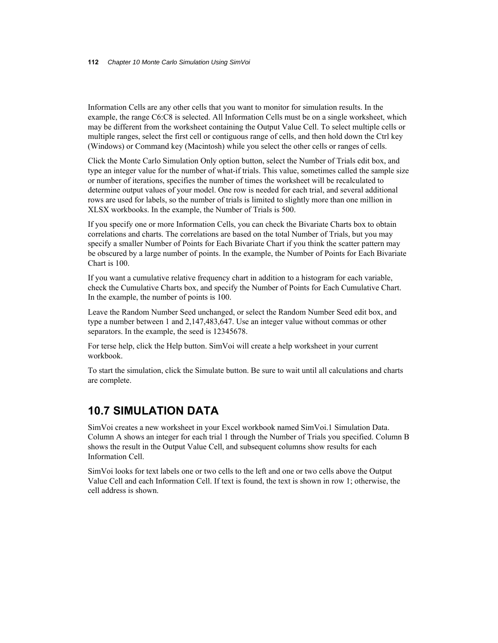Information Cells are any other cells that you want to monitor for simulation results. In the example, the range C6:C8 is selected. All Information Cells must be on a single worksheet, which may be different from the worksheet containing the Output Value Cell. To select multiple cells or multiple ranges, select the first cell or contiguous range of cells, and then hold down the Ctrl key (Windows) or Command key (Macintosh) while you select the other cells or ranges of cells.

Click the Monte Carlo Simulation Only option button, select the Number of Trials edit box, and type an integer value for the number of what-if trials. This value, sometimes called the sample size or number of iterations, specifies the number of times the worksheet will be recalculated to determine output values of your model. One row is needed for each trial, and several additional rows are used for labels, so the number of trials is limited to slightly more than one million in XLSX workbooks. In the example, the Number of Trials is 500.

If you specify one or more Information Cells, you can check the Bivariate Charts box to obtain correlations and charts. The correlations are based on the total Number of Trials, but you may specify a smaller Number of Points for Each Bivariate Chart if you think the scatter pattern may be obscured by a large number of points. In the example, the Number of Points for Each Bivariate Chart is 100.

If you want a cumulative relative frequency chart in addition to a histogram for each variable, check the Cumulative Charts box, and specify the Number of Points for Each Cumulative Chart. In the example, the number of points is 100.

Leave the Random Number Seed unchanged, or select the Random Number Seed edit box, and type a number between 1 and 2,147,483,647. Use an integer value without commas or other separators. In the example, the seed is 12345678.

For terse help, click the Help button. SimVoi will create a help worksheet in your current workbook.

To start the simulation, click the Simulate button. Be sure to wait until all calculations and charts are complete.

### **10.7 SIMULATION DATA**

SimVoi creates a new worksheet in your Excel workbook named SimVoi.1 Simulation Data. Column A shows an integer for each trial 1 through the Number of Trials you specified. Column B shows the result in the Output Value Cell, and subsequent columns show results for each Information Cell.

SimVoi looks for text labels one or two cells to the left and one or two cells above the Output Value Cell and each Information Cell. If text is found, the text is shown in row 1; otherwise, the cell address is shown.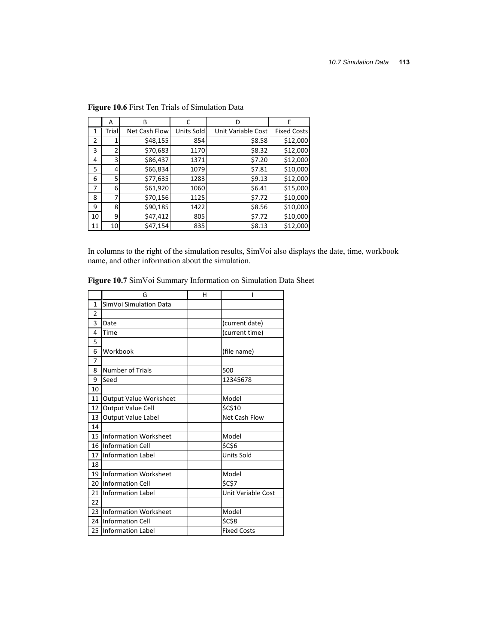|                | A              | В             | C          | D                  | E                  |
|----------------|----------------|---------------|------------|--------------------|--------------------|
| 1              | Trial          | Net Cash Flow | Units Sold | Unit Variable Cost | <b>Fixed Costs</b> |
| $\overline{2}$ |                | \$48,155      | 854        | \$8.58             | \$12,000           |
| 3              | $\overline{2}$ | \$70,683      | 1170       | \$8.32             | \$12,000           |
| 4              | 3              | \$86,437      | 1371       | \$7.20             | \$12,000           |
| 5              | 4              | \$66,834      | 1079       | \$7.81             | \$10,000           |
| 6              | 5              | \$77,635      | 1283       | \$9.13             | \$12,000           |
| 7              | 6              | \$61,920      | 1060       | \$6.41             | \$15,000           |
| 8              | 7              | \$70,156      | 1125       | \$7.72             | \$10,000           |
| 9              | 8              | \$90,185      | 1422       | \$8.56             | \$10,000           |
| 10             | 9              | \$47,412      | 805        | \$7.72             | \$10,000           |
| 11             | 10             | \$47,154      | 835        | \$8.13             | \$12,000           |

**Figure 10.6** First Ten Trials of Simulation Data

In columns to the right of the simulation results, SimVoi also displays the date, time, workbook name, and other information about the simulation.

|                | G                             | н |                    |
|----------------|-------------------------------|---|--------------------|
| $\overline{1}$ | SimVoi Simulation Data        |   |                    |
| 2              |                               |   |                    |
| 3              | Date                          |   | (current date)     |
| 4              | Time                          |   | (current time)     |
| 5              |                               |   |                    |
| 6              | Workbook                      |   | (file name)        |
| 7              |                               |   |                    |
| 8              | <b>Number of Trials</b>       |   | 500                |
| 9              | Seed                          |   | 12345678           |
| 10             |                               |   |                    |
| 11             | <b>Output Value Worksheet</b> |   | Model              |
| 12             | Output Value Cell             |   | \$C\$10            |
| 13             | Output Value Label            |   | Net Cash Flow      |
| 14             |                               |   |                    |
| 15             | <b>Information Worksheet</b>  |   | Model              |
|                | 16 Information Cell           |   | <b>\$C\$6</b>      |
| 17             | <b>Information Label</b>      |   | <b>Units Sold</b>  |
| 18             |                               |   |                    |
| 19             | <b>Information Worksheet</b>  |   | Model              |
| 20             | <b>Information Cell</b>       |   | <b>SCS7</b>        |
| 21             | <b>Information Label</b>      |   | Unit Variable Cost |
| 22             |                               |   |                    |
| 23             | <b>Information Worksheet</b>  |   | Model              |
| 24             | <b>Information Cell</b>       |   | <b>\$C\$8</b>      |
|                | 25 Information Label          |   | <b>Fixed Costs</b> |

**Figure 10.7** SimVoi Summary Information on Simulation Data Sheet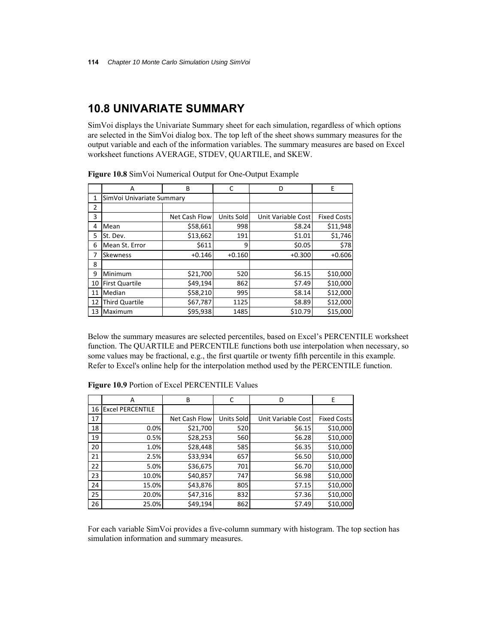### **10.8 UNIVARIATE SUMMARY**

SimVoi displays the Univariate Summary sheet for each simulation, regardless of which options are selected in the SimVoi dialog box. The top left of the sheet shows summary measures for the output variable and each of the information variables. The summary measures are based on Excel worksheet functions AVERAGE, STDEV, QUARTILE, and SKEW.

|    | A                         | B             |            | D                  | Ε                  |
|----|---------------------------|---------------|------------|--------------------|--------------------|
| 1  | SimVoi Univariate Summary |               |            |                    |                    |
| 2  |                           |               |            |                    |                    |
| 3  |                           | Net Cash Flow | Units Sold | Unit Variable Cost | <b>Fixed Costs</b> |
| 4  | Mean                      | \$58,661      | 998        | \$8.24             | \$11,948           |
| 5  | St. Dev.                  | \$13,662      | 191        | \$1.01             | \$1,746            |
| 6  | Mean St. Error            | \$611         | 9          | \$0.05             | \$78               |
| 7  | <b>Skewness</b>           | $+0.146$      | $+0.160$   | $+0.300$           | $+0.606$           |
| 8  |                           |               |            |                    |                    |
| 9  | Minimum                   | \$21,700      | 520        | \$6.15             | \$10,000           |
| 10 | <b>First Quartile</b>     | \$49,194      | 862        | \$7.49             | \$10,000           |
| 11 | Median                    | \$58,210      | 995        | \$8.14             | \$12,000           |
| 12 | Third Quartile            | \$67,787      | 1125       | \$8.89             | \$12,000           |
| 13 | Maximum                   | \$95,938      | 1485       | \$10.79            | \$15,000           |

**Figure 10.8** SimVoi Numerical Output for One-Output Example

Below the summary measures are selected percentiles, based on Excel's PERCENTILE worksheet function. The QUARTILE and PERCENTILE functions both use interpolation when necessary, so some values may be fractional, e.g., the first quartile or twenty fifth percentile in this example. Refer to Excel's online help for the interpolation method used by the PERCENTILE function.

|    | A                       | B             | C          | D                  | Е                  |
|----|-------------------------|---------------|------------|--------------------|--------------------|
| 16 | <b>Excel PERCENTILE</b> |               |            |                    |                    |
| 17 |                         | Net Cash Flow | Units Sold | Unit Variable Cost | <b>Fixed Costs</b> |
| 18 | 0.0%                    | \$21,700      | 520        | \$6.15             | \$10,000           |
| 19 | 0.5%                    | \$28,253      | 560        | \$6.28             | \$10,000           |
| 20 | 1.0%                    | \$28,448      | 585        | \$6.35             | \$10,000           |
| 21 | 2.5%                    | \$33,934      | 657        | \$6.50             | \$10,000           |
| 22 | 5.0%                    | \$36,675      | 701        | \$6.70             | \$10,000           |
| 23 | 10.0%                   | \$40,857      | 747        | \$6.98             | \$10,000           |
| 24 | 15.0%                   | \$43,876      | 805        | \$7.15             | \$10,000           |
| 25 | 20.0%                   | \$47,316      | 832        | \$7.36             | \$10,000           |
| 26 | 25.0%                   | \$49,194      | 862        | \$7.49             | \$10,000           |

**Figure 10.9** Portion of Excel PERCENTILE Values

For each variable SimVoi provides a five-column summary with histogram. The top section has simulation information and summary measures.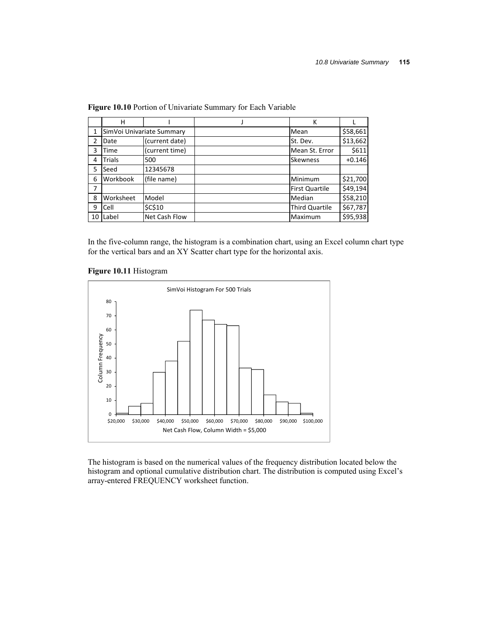|                | н         |                           | К                     |          |
|----------------|-----------|---------------------------|-----------------------|----------|
| $\mathbf{1}$   |           | SimVoi Univariate Summary | Mean                  | \$58,661 |
| $\overline{2}$ | Date      | (current date)            | St. Dev.              | \$13,662 |
| 3              | Time      | (current time)            | Mean St. Error        | \$611    |
| 4              | Trials    | 500                       | <b>Skewness</b>       | $+0.146$ |
| 5              | Seed      | 12345678                  |                       |          |
| 6              | Workbook  | (file name)               | Minimum               | \$21,700 |
| 7              |           |                           | <b>First Quartile</b> | \$49,194 |
| 8              | Worksheet | Model                     | Median                | \$58,210 |
| 9              | Cell      | \$C\$10                   | <b>Third Quartile</b> | \$67,787 |
| 10             | Label     | Net Cash Flow             | Maximum               | \$95,938 |

**Figure 10.10** Portion of Univariate Summary for Each Variable

In the five-column range, the histogram is a combination chart, using an Excel column chart type for the vertical bars and an XY Scatter chart type for the horizontal axis.

**Figure 10.11** Histogram



The histogram is based on the numerical values of the frequency distribution located below the histogram and optional cumulative distribution chart. The distribution is computed using Excel's array-entered FREQUENCY worksheet function.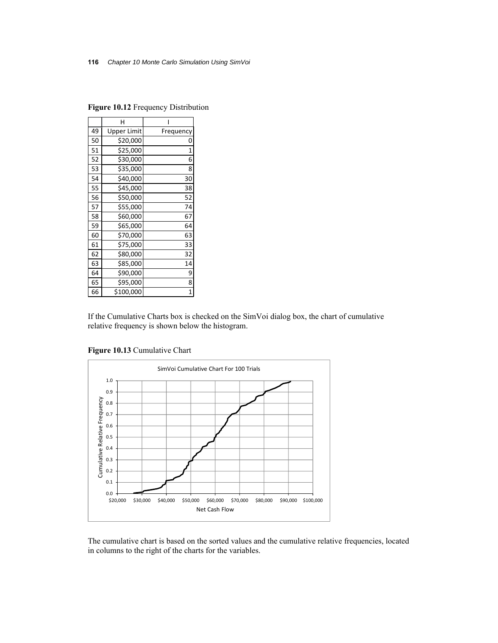|    | н                  |                |
|----|--------------------|----------------|
| 49 | <b>Upper Limit</b> | Frequency      |
| 50 | \$20,000           |                |
| 51 | \$25,000           | $\overline{1}$ |
| 52 | \$30,000           | 6              |
| 53 | \$35,000           | 8              |
| 54 | \$40,000           | 30             |
| 55 | \$45,000           | 38             |
| 56 | \$50,000           | 52             |
| 57 | \$55,000           | 74             |
| 58 | \$60,000           | 67             |
| 59 | \$65,000           | 64             |
| 60 | \$70,000           | 63             |
| 61 | \$75,000           | 33             |
| 62 | \$80,000           | 32             |
| 63 | \$85,000           | 14             |
| 64 | \$90,000           | 9              |
| 65 | \$95,000           | 8              |
| 66 | \$100,000          |                |

**Figure 10.12** Frequency Distribution

If the Cumulative Charts box is checked on the SimVoi dialog box, the chart of cumulative relative frequency is shown below the histogram.

**Figure 10.13** Cumulative Chart



The cumulative chart is based on the sorted values and the cumulative relative frequencies, located in columns to the right of the charts for the variables.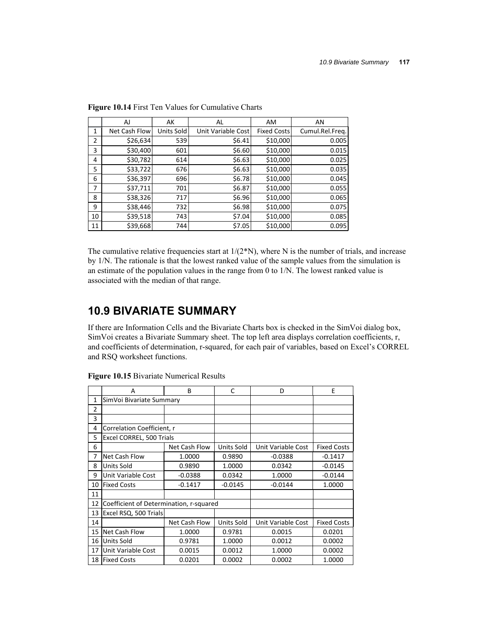|    | AJ            | AK         | AL                 | <b>AM</b>          | AN              |
|----|---------------|------------|--------------------|--------------------|-----------------|
| 1  | Net Cash Flow | Units Sold | Unit Variable Cost | <b>Fixed Costs</b> | Cumul.Rel.Freq. |
| 2  | \$26,634      | 539        | \$6.41             | \$10,000           | 0.005           |
| 3  | \$30,400      | 601        | \$6.60             | \$10,000           | 0.015           |
| 4  | \$30,782      | 614        | \$6.63             | \$10,000           | 0.025           |
| 5  | \$33,722      | 676        | \$6.63             | \$10,000           | 0.035           |
| 6  | \$36,397      | 696        | \$6.78             | \$10,000           | 0.045           |
| 7  | \$37,711      | 701        | \$6.87             | \$10,000           | 0.055           |
| 8  | \$38,326      | 717        | \$6.96             | \$10,000           | 0.065           |
| 9  | \$38,446      | 732        | \$6.98             | \$10,000           | 0.075           |
| 10 | \$39,518      | 743        | \$7.04             | \$10,000           | 0.085           |
| 11 | \$39,668      | 744        | \$7.05             | \$10,000           | 0.095           |

**Figure 10.14** First Ten Values for Cumulative Charts

The cumulative relative frequencies start at  $1/(2*N)$ , where N is the number of trials, and increase by 1/N. The rationale is that the lowest ranked value of the sample values from the simulation is an estimate of the population values in the range from 0 to 1/N. The lowest ranked value is associated with the median of that range.

## **10.9 BIVARIATE SUMMARY**

If there are Information Cells and the Bivariate Charts box is checked in the SimVoi dialog box, SimVoi creates a Bivariate Summary sheet. The top left area displays correlation coefficients, r, and coefficients of determination, r-squared, for each pair of variables, based on Excel's CORREL and RSQ worksheet functions.

|    | A                                       | B             | C                 | D                  | E                  |
|----|-----------------------------------------|---------------|-------------------|--------------------|--------------------|
| 1  | SimVoi Bivariate Summary                |               |                   |                    |                    |
| 2  |                                         |               |                   |                    |                    |
| 3  |                                         |               |                   |                    |                    |
| 4  | Correlation Coefficient, r              |               |                   |                    |                    |
| 5  | Excel CORREL, 500 Trials                |               |                   |                    |                    |
| 6  |                                         | Net Cash Flow | <b>Units Sold</b> | Unit Variable Cost | <b>Fixed Costs</b> |
| 7  | Net Cash Flow                           | 1.0000        | 0.9890            | $-0.0388$          | $-0.1417$          |
| 8  | Units Sold                              | 0.9890        | 1.0000            | 0.0342             | $-0.0145$          |
| 9  | Unit Variable Cost                      | $-0.0388$     | 0.0342            | 1.0000             | $-0.0144$          |
| 10 | <b>Fixed Costs</b>                      | $-0.1417$     | $-0.0145$         | $-0.0144$          | 1.0000             |
| 11 |                                         |               |                   |                    |                    |
| 12 | Coefficient of Determination, r-squared |               |                   |                    |                    |
| 13 | Excel RSQ, 500 Trials                   |               |                   |                    |                    |
| 14 |                                         | Net Cash Flow | Units Sold        | Unit Variable Cost | <b>Fixed Costs</b> |
| 15 | Net Cash Flow                           | 1.0000        | 0.9781            | 0.0015             | 0.0201             |
| 16 | Units Sold                              | 0.9781        | 1.0000            | 0.0012             | 0.0002             |
| 17 | Unit Variable Cost                      | 0.0015        | 0.0012            | 1.0000             | 0.0002             |
| 18 | <b>Fixed Costs</b>                      | 0.0201        | 0.0002            | 0.0002             | 1.0000             |

**Figure 10.15** Bivariate Numerical Results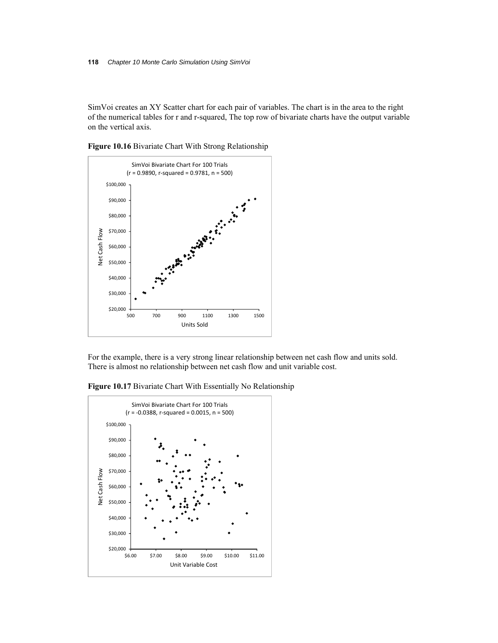SimVoi creates an XY Scatter chart for each pair of variables. The chart is in the area to the right of the numerical tables for r and r-squared, The top row of bivariate charts have the output variable on the vertical axis.

**Figure 10.16** Bivariate Chart With Strong Relationship



For the example, there is a very strong linear relationship between net cash flow and units sold. There is almost no relationship between net cash flow and unit variable cost.

**Figure 10.17** Bivariate Chart With Essentially No Relationship

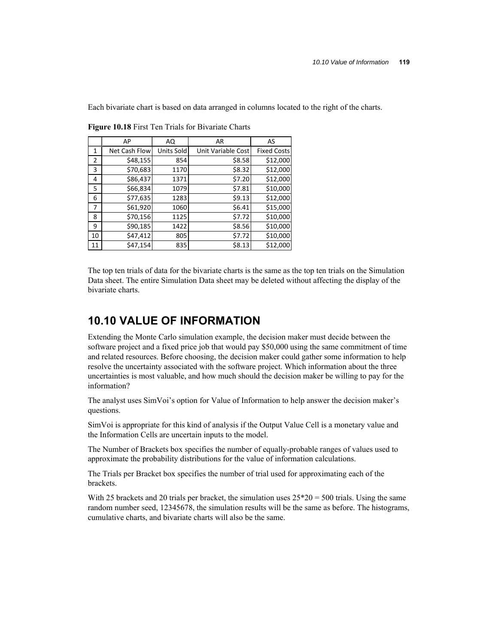Each bivariate chart is based on data arranged in columns located to the right of the charts.

|    | AP            | AQ         | AR                 | AS                 |
|----|---------------|------------|--------------------|--------------------|
| 1  | Net Cash Flow | Units Sold | Unit Variable Cost | <b>Fixed Costs</b> |
| 2  | \$48,155      | 854        | \$8.58             | \$12,000           |
| 3  | \$70,683      | 1170       | \$8.32             | \$12,000           |
| 4  | \$86,437      | 1371       | \$7.20             | \$12,000           |
| 5  | \$66,834      | 1079       | \$7.81             | \$10,000           |
| 6  | \$77,635      | 1283       | \$9.13             | \$12,000           |
| 7  | \$61,920      | 1060       | \$6.41             | \$15,000           |
| 8  | \$70,156      | 1125       | \$7.72             | \$10,000           |
| 9  | \$90,185      | 1422       | \$8.56             | \$10,000           |
| 10 | \$47,412      | 805        | \$7.72             | \$10,000           |
| 11 | \$47,154      | 835        | \$8.13             | \$12,000           |

**Figure 10.18** First Ten Trials for Bivariate Charts

The top ten trials of data for the bivariate charts is the same as the top ten trials on the Simulation Data sheet. The entire Simulation Data sheet may be deleted without affecting the display of the bivariate charts.

### **10.10 VALUE OF INFORMATION**

Extending the Monte Carlo simulation example, the decision maker must decide between the software project and a fixed price job that would pay \$50,000 using the same commitment of time and related resources. Before choosing, the decision maker could gather some information to help resolve the uncertainty associated with the software project. Which information about the three uncertainties is most valuable, and how much should the decision maker be willing to pay for the information?

The analyst uses SimVoi's option for Value of Information to help answer the decision maker's questions.

SimVoi is appropriate for this kind of analysis if the Output Value Cell is a monetary value and the Information Cells are uncertain inputs to the model.

The Number of Brackets box specifies the number of equally-probable ranges of values used to approximate the probability distributions for the value of information calculations.

The Trials per Bracket box specifies the number of trial used for approximating each of the brackets.

With 25 brackets and 20 trials per bracket, the simulation uses  $25*20 = 500$  trials. Using the same random number seed, 12345678, the simulation results will be the same as before. The histograms, cumulative charts, and bivariate charts will also be the same.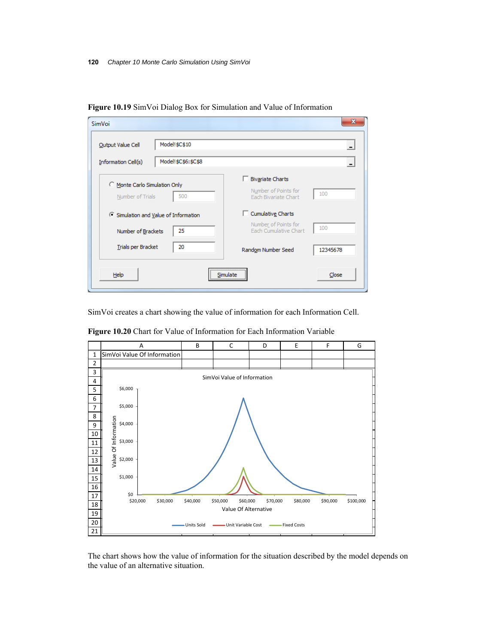| SimVoi                                                 | x                                                                              |
|--------------------------------------------------------|--------------------------------------------------------------------------------|
| Model!\$C\$10<br>Output Value Cell                     |                                                                                |
| Model!\$C\$6:\$C\$8<br>Information Cell(s)             |                                                                                |
| Monte Carlo Simulation Only<br>500<br>Number of Trials | <b>Bivariate Charts</b><br>Number of Points for<br>100<br>Each Bivariate Chart |
| C Simulation and Value of Information                  | Cumulative Charts                                                              |
| 25<br>Number of Brackets                               | Number of Points for<br>100<br>Each Cumulative Chart                           |
| <b>Trials per Bracket</b><br>20                        | Random Number Seed<br>12345678                                                 |
| Help                                                   | <br>Close<br>Simulate                                                          |

**Figure 10.19** SimVoi Dialog Box for Simulation and Value of Information

SimVoi creates a chart showing the value of information for each Information Cell.



**Figure 10.20** Chart for Value of Information for Each Information Variable

The chart shows how the value of information for the situation described by the model depends on the value of an alternative situation.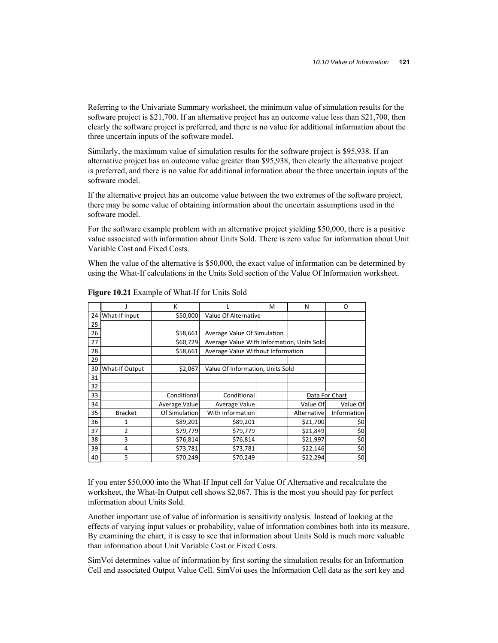Referring to the Univariate Summary worksheet, the minimum value of simulation results for the software project is \$21,700. If an alternative project has an outcome value less than \$21,700, then clearly the software project is preferred, and there is no value for additional information about the three uncertain inputs of the software model.

Similarly, the maximum value of simulation results for the software project is \$95,938. If an alternative project has an outcome value greater than \$95,938, then clearly the alternative project is preferred, and there is no value for additional information about the three uncertain inputs of the software model.

If the alternative project has an outcome value between the two extremes of the software project, there may be some value of obtaining information about the uncertain assumptions used in the software model.

For the software example problem with an alternative project yielding \$50,000, there is a positive value associated with information about Units Sold. There is zero value for information about Unit Variable Cost and Fixed Costs.

When the value of the alternative is \$50,000, the exact value of information can be determined by using the What-If calculations in the Units Sold section of the Value Of Information worksheet.

|    |                | К             |                                            | м                    | N           | O              |
|----|----------------|---------------|--------------------------------------------|----------------------|-------------|----------------|
| 24 | What-If Input  | \$50,000      |                                            | Value Of Alternative |             |                |
| 25 |                |               |                                            |                      |             |                |
| 26 |                | \$58,661      | Average Value Of Simulation                |                      |             |                |
| 27 |                | \$60,729      | Average Value With Information, Units Sold |                      |             |                |
| 28 |                | \$58,661      | Average Value Without Information          |                      |             |                |
| 29 |                |               |                                            |                      |             |                |
| 30 | What-If Output | \$2,067       | Value Of Information, Units Sold           |                      |             |                |
| 31 |                |               |                                            |                      |             |                |
| 32 |                |               |                                            |                      |             |                |
| 33 |                | Conditional   | Conditional                                |                      |             | Data For Chart |
| 34 |                | Average Value | Average Value                              |                      | Value Of    | Value Of       |
| 35 | <b>Bracket</b> | Of Simulation | With Information                           |                      | Alternative | Information    |
| 36 | $\mathbf{1}$   | \$89,201      | \$89,201                                   |                      | \$21,700    | \$0            |
| 37 | $\overline{2}$ | \$79,779      | \$79,779                                   |                      | \$21,849    | \$0            |
| 38 | 3              | \$76,814      | \$76,814                                   |                      | \$21,997    | \$0            |
| 39 | 4              | \$73,781      | \$73,781                                   |                      | \$22,146    | \$0            |
| 40 | 5              | \$70,249      | \$70,249                                   |                      | \$22,294    | \$0            |

**Figure 10.21** Example of What-If for Units Sold

If you enter \$50,000 into the What-If Input cell for Value Of Alternative and recalculate the worksheet, the What-In Output cell shows \$2,067. This is the most you should pay for perfect information about Units Sold.

Another important use of value of information is sensitivity analysis. Instead of looking at the effects of varying input values or probability, value of information combines both into its measure. By examining the chart, it is easy to see that information about Units Sold is much more valuable than information about Unit Variable Cost or Fixed Costs.

SimVoi determines value of information by first sorting the simulation results for an Information Cell and associated Output Value Cell. SimVoi uses the Information Cell data as the sort key and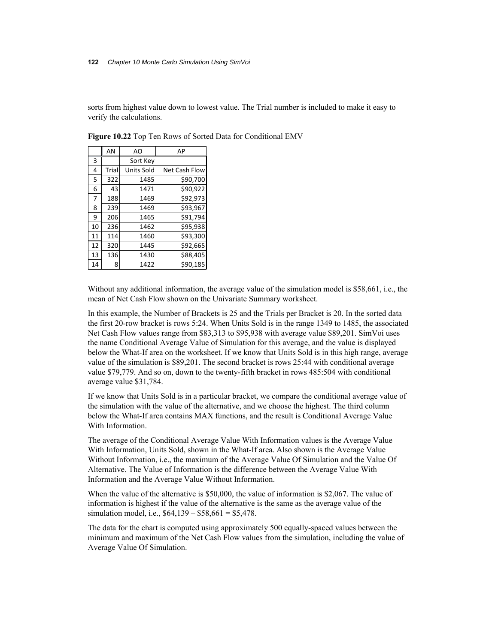sorts from highest value down to lowest value. The Trial number is included to make it easy to verify the calculations.

|    | AN    | AO                | AP            |
|----|-------|-------------------|---------------|
| 3  |       | Sort Key          |               |
| 4  | Trial | <b>Units Sold</b> | Net Cash Flow |
| 5  | 322   | 1485              | \$90,700      |
| 6  | 43    | 1471              | \$90,922      |
| 7  | 188   | 1469              | \$92,973      |
| 8  | 239   | 1469              | \$93,967      |
| 9  | 206   | 1465              | \$91,794      |
| 10 | 236   | 1462              | \$95,938      |
| 11 | 114   | 1460              | \$93,300      |
| 12 | 320   | 1445              | \$92,665      |
| 13 | 136   | 1430              | \$88,405      |
| 14 | 8     | 1422              | \$90,185      |

**Figure 10.22** Top Ten Rows of Sorted Data for Conditional EMV

Without any additional information, the average value of the simulation model is \$58,661, i.e., the mean of Net Cash Flow shown on the Univariate Summary worksheet.

In this example, the Number of Brackets is 25 and the Trials per Bracket is 20. In the sorted data the first 20-row bracket is rows 5:24. When Units Sold is in the range 1349 to 1485, the associated Net Cash Flow values range from \$83,313 to \$95,938 with average value \$89,201. SimVoi uses the name Conditional Average Value of Simulation for this average, and the value is displayed below the What-If area on the worksheet. If we know that Units Sold is in this high range, average value of the simulation is \$89,201. The second bracket is rows 25:44 with conditional average value \$79,779. And so on, down to the twenty-fifth bracket in rows 485:504 with conditional average value \$31,784.

If we know that Units Sold is in a particular bracket, we compare the conditional average value of the simulation with the value of the alternative, and we choose the highest. The third column below the What-If area contains MAX functions, and the result is Conditional Average Value With Information.

The average of the Conditional Average Value With Information values is the Average Value With Information, Units Sold, shown in the What-If area. Also shown is the Average Value Without Information, i.e., the maximum of the Average Value Of Simulation and the Value Of Alternative. The Value of Information is the difference between the Average Value With Information and the Average Value Without Information.

When the value of the alternative is \$50,000, the value of information is \$2,067. The value of information is highest if the value of the alternative is the same as the average value of the simulation model, i.e.,  $$64,139 - $58,661 = $5,478$ .

The data for the chart is computed using approximately 500 equally-spaced values between the minimum and maximum of the Net Cash Flow values from the simulation, including the value of Average Value Of Simulation.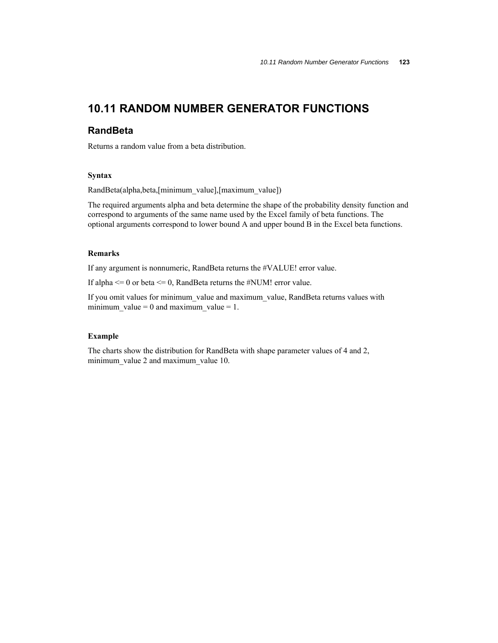### **10.11 RANDOM NUMBER GENERATOR FUNCTIONS**

### **RandBeta**

Returns a random value from a beta distribution.

### **Syntax**

RandBeta(alpha,beta,[minimum\_value],[maximum\_value])

The required arguments alpha and beta determine the shape of the probability density function and correspond to arguments of the same name used by the Excel family of beta functions. The optional arguments correspond to lower bound A and upper bound B in the Excel beta functions.

### **Remarks**

If any argument is nonnumeric, RandBeta returns the #VALUE! error value.

If alpha  $\leq 0$  or beta  $\leq 0$ , RandBeta returns the #NUM! error value.

If you omit values for minimum\_value and maximum\_value, RandBeta returns values with minimum\_value = 0 and maximum\_value = 1.

#### **Example**

The charts show the distribution for RandBeta with shape parameter values of 4 and 2, minimum\_value 2 and maximum\_value 10.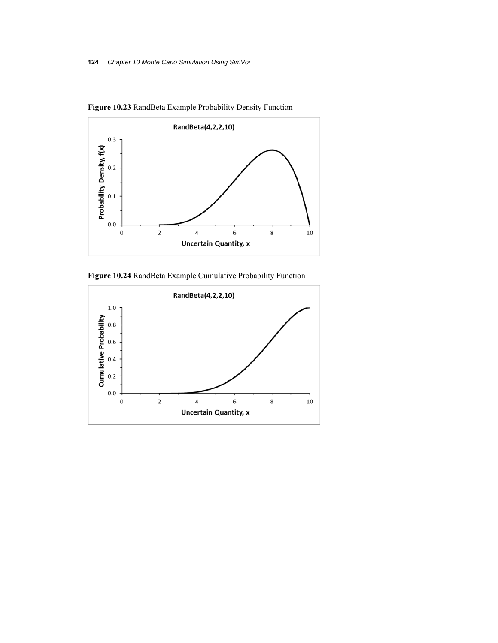

**Figure 10.23** RandBeta Example Probability Density Function

**Figure 10.24** RandBeta Example Cumulative Probability Function

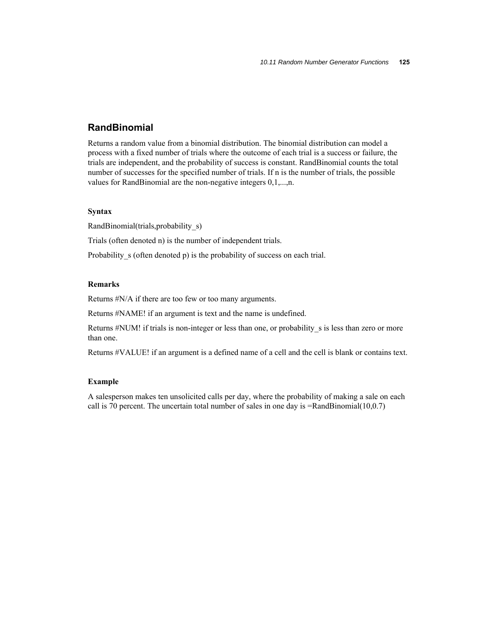### **RandBinomial**

Returns a random value from a binomial distribution. The binomial distribution can model a process with a fixed number of trials where the outcome of each trial is a success or failure, the trials are independent, and the probability of success is constant. RandBinomial counts the total number of successes for the specified number of trials. If n is the number of trials, the possible values for RandBinomial are the non-negative integers 0,1,...,n.

### **Syntax**

RandBinomial(trials,probability\_s)

Trials (often denoted n) is the number of independent trials.

Probability s (often denoted p) is the probability of success on each trial.

### **Remarks**

Returns #N/A if there are too few or too many arguments.

Returns #NAME! if an argument is text and the name is undefined.

Returns #NUM! if trials is non-integer or less than one, or probability s is less than zero or more than one.

Returns #VALUE! if an argument is a defined name of a cell and the cell is blank or contains text.

### **Example**

A salesperson makes ten unsolicited calls per day, where the probability of making a sale on each call is 70 percent. The uncertain total number of sales in one day is =RandBinomial(10,0.7)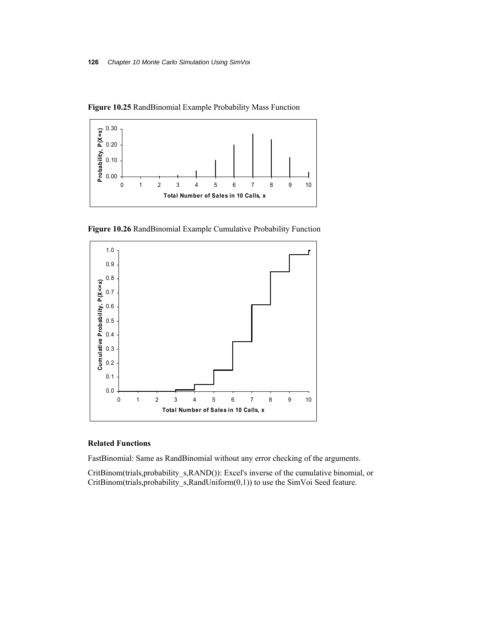



**Figure 10.26** RandBinomial Example Cumulative Probability Function



### **Related Functions**

FastBinomial: Same as RandBinomial without any error checking of the arguments.

CritBinom(trials,probability\_s,RAND()): Excel's inverse of the cumulative binomial, or CritBinom(trials,probability\_s,RandUniform(0,1)) to use the SimVoi Seed feature.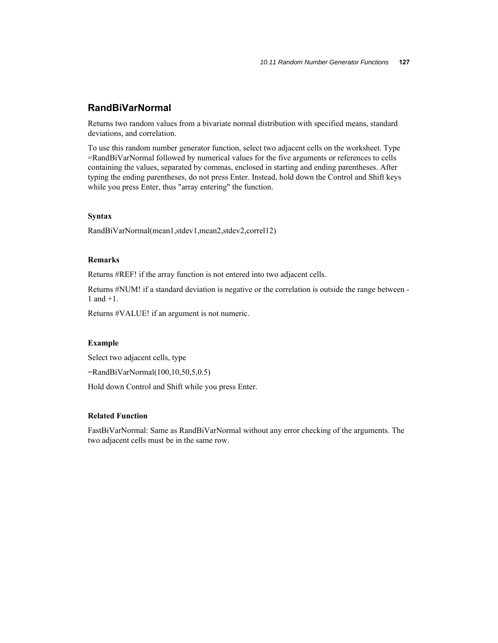### **RandBiVarNormal**

Returns two random values from a bivariate normal distribution with specified means, standard deviations, and correlation.

To use this random number generator function, select two adjacent cells on the worksheet. Type =RandBiVarNormal followed by numerical values for the five arguments or references to cells containing the values, separated by commas, enclosed in starting and ending parentheses. After typing the ending parentheses, do not press Enter. Instead, hold down the Control and Shift keys while you press Enter, thus "array entering" the function.

#### **Syntax**

RandBiVarNormal(mean1,stdev1,mean2,stdev2,correl12)

### **Remarks**

Returns #REF! if the array function is not entered into two adjacent cells.

Returns #NUM! if a standard deviation is negative or the correlation is outside the range between - 1 and +1.

Returns #VALUE! if an argument is not numeric.

### **Example**

Select two adjacent cells, type

=RandBiVarNormal(100,10,50,5,0.5)

Hold down Control and Shift while you press Enter.

### **Related Function**

FastBiVarNormal: Same as RandBiVarNormal without any error checking of the arguments. The two adjacent cells must be in the same row.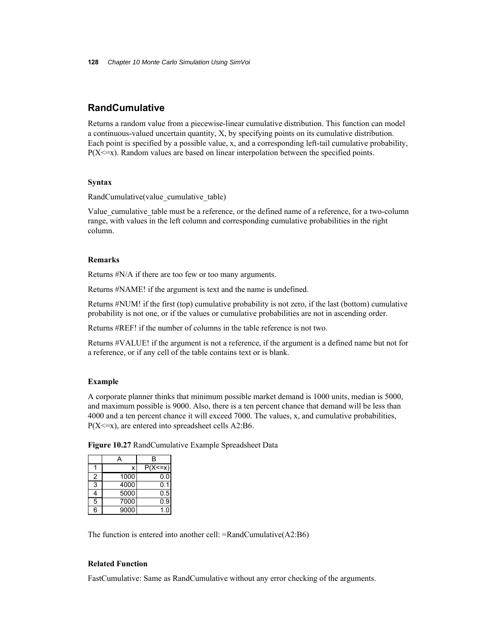### **RandCumulative**

Returns a random value from a piecewise-linear cumulative distribution. This function can model a continuous-valued uncertain quantity, X, by specifying points on its cumulative distribution. Each point is specified by a possible value, x, and a corresponding left-tail cumulative probability,  $P(X \le x)$ . Random values are based on linear interpolation between the specified points.

### **Syntax**

RandCumulative(value\_cumulative\_table)

Value cumulative table must be a reference, or the defined name of a reference, for a two-column range, with values in the left column and corresponding cumulative probabilities in the right column.

### **Remarks**

Returns #N/A if there are too few or too many arguments.

Returns #NAME! if the argument is text and the name is undefined.

Returns #NUM! if the first (top) cumulative probability is not zero, if the last (bottom) cumulative probability is not one, or if the values or cumulative probabilities are not in ascending order.

Returns #REF! if the number of columns in the table reference is not two.

Returns #VALUE! if the argument is not a reference, if the argument is a defined name but not for a reference, or if any cell of the table contains text or is blank.

### **Example**

A corporate planner thinks that minimum possible market demand is 1000 units, median is 5000, and maximum possible is 9000. Also, there is a ten percent chance that demand will be less than 4000 and a ten percent chance it will exceed 7000. The values, x, and cumulative probabilities,  $P(X \le x)$ , are entered into spreadsheet cells A2:B6.

|  |  |  | Figure 10.27 RandCumulative Example Spreadsheet Data |  |
|--|--|--|------------------------------------------------------|--|
|  |  |  |                                                      |  |

|   |      | в            |
|---|------|--------------|
|   |      | $P(X \le x)$ |
| 2 | 1000 | 0.0          |
| 3 | 4000 | 0.1          |
|   | 5000 | 0.5          |
| 5 | 7000 | 0.9          |
| 6 | 9000 |              |

The function is entered into another cell: =RandCumulative(A2:B6)

#### **Related Function**

FastCumulative: Same as RandCumulative without any error checking of the arguments.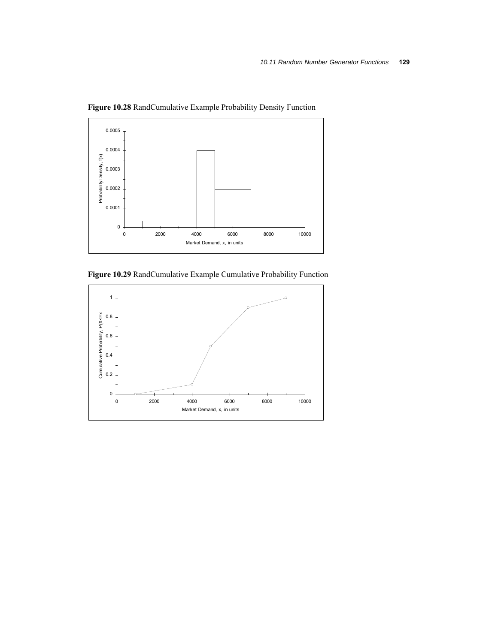

**Figure 10.28** RandCumulative Example Probability Density Function



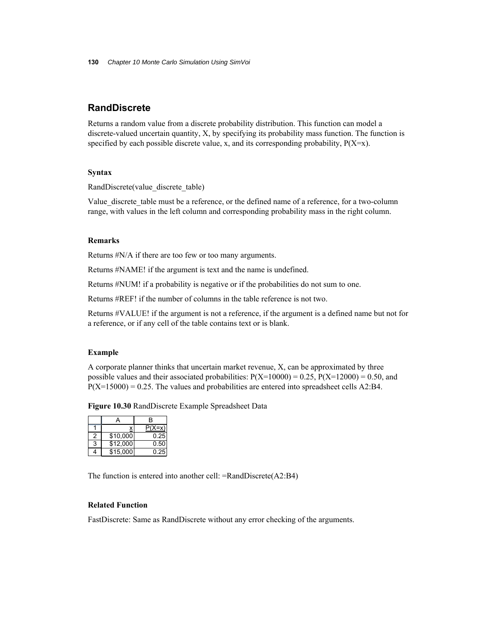### **RandDiscrete**

Returns a random value from a discrete probability distribution. This function can model a discrete-valued uncertain quantity, X, by specifying its probability mass function. The function is specified by each possible discrete value, x, and its corresponding probability,  $P(X=x)$ .

### **Syntax**

RandDiscrete(value\_discrete\_table)

Value discrete table must be a reference, or the defined name of a reference, for a two-column range, with values in the left column and corresponding probability mass in the right column.

### **Remarks**

Returns #N/A if there are too few or too many arguments.

Returns #NAME! if the argument is text and the name is undefined.

Returns #NUM! if a probability is negative or if the probabilities do not sum to one.

Returns #REF! if the number of columns in the table reference is not two.

Returns #VALUE! if the argument is not a reference, if the argument is a defined name but not for a reference, or if any cell of the table contains text or is blank.

#### **Example**

A corporate planner thinks that uncertain market revenue, X, can be approximated by three possible values and their associated probabilities:  $P(X=10000) = 0.25$ ,  $P(X=12000) = 0.50$ , and  $P(X=15000) = 0.25$ . The values and probabilities are entered into spreadsheet cells A2:B4.

**Figure 10.30** RandDiscrete Example Spreadsheet Data

|   |          | в    |
|---|----------|------|
|   |          | (X=x |
| 2 | \$10,000 | 0.25 |
| 3 | \$12,000 | 0.50 |
|   | \$15,000 |      |

The function is entered into another cell: =RandDiscrete(A2:B4)

### **Related Function**

FastDiscrete: Same as RandDiscrete without any error checking of the arguments.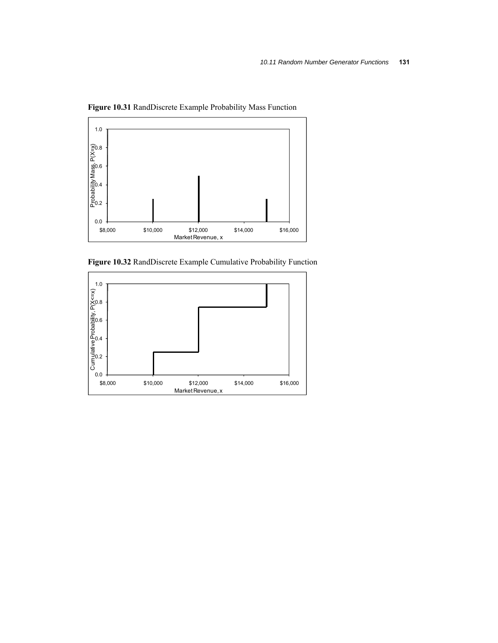

**Figure 10.31** RandDiscrete Example Probability Mass Function

**Figure 10.32** RandDiscrete Example Cumulative Probability Function

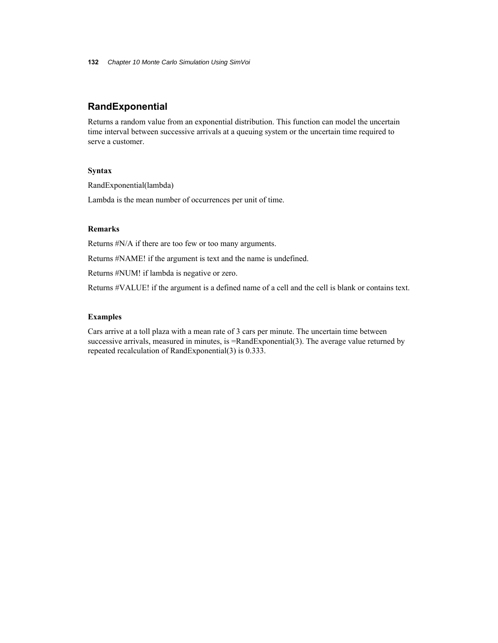### **RandExponential**

Returns a random value from an exponential distribution. This function can model the uncertain time interval between successive arrivals at a queuing system or the uncertain time required to serve a customer.

### **Syntax**

RandExponential(lambda)

Lambda is the mean number of occurrences per unit of time.

### **Remarks**

Returns #N/A if there are too few or too many arguments.

Returns #NAME! if the argument is text and the name is undefined.

Returns #NUM! if lambda is negative or zero.

Returns #VALUE! if the argument is a defined name of a cell and the cell is blank or contains text.

### **Examples**

Cars arrive at a toll plaza with a mean rate of 3 cars per minute. The uncertain time between successive arrivals, measured in minutes, is =RandExponential(3). The average value returned by repeated recalculation of RandExponential(3) is 0.333.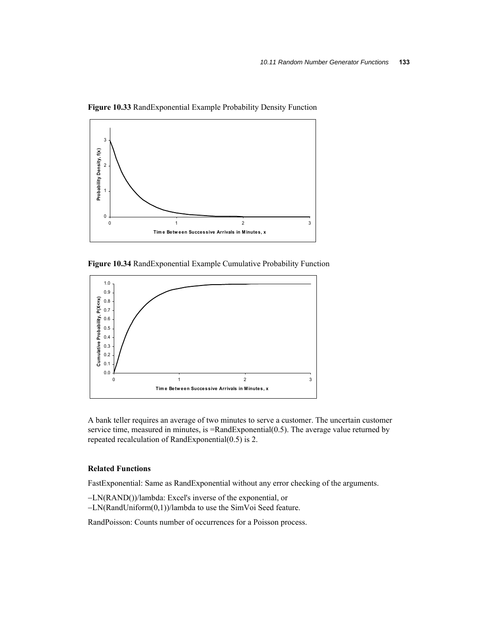

**Figure 10.33** RandExponential Example Probability Density Function

**Figure 10.34** RandExponential Example Cumulative Probability Function



A bank teller requires an average of two minutes to serve a customer. The uncertain customer service time, measured in minutes, is =RandExponential(0.5). The average value returned by repeated recalculation of RandExponential(0.5) is 2.

### **Related Functions**

FastExponential: Same as RandExponential without any error checking of the arguments.

- LN(RAND())/lambda: Excel's inverse of the exponential, or
- LN(RandUniform(0,1))/lambda to use the SimVoi Seed feature.

RandPoisson: Counts number of occurrences for a Poisson process.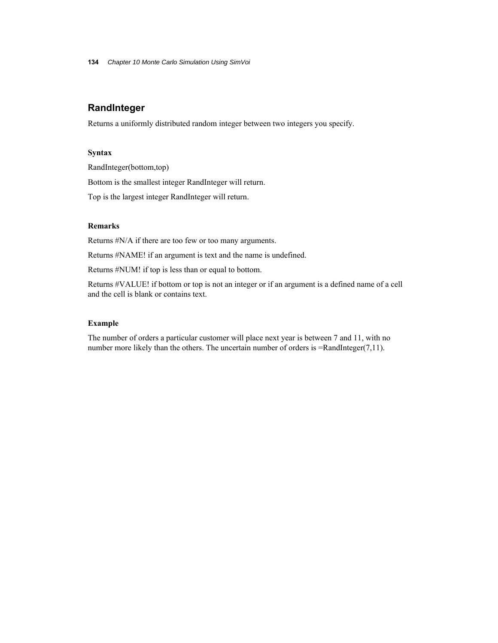**134** *Chapter 10 Monte Carlo Simulation Using SimVoi*

### **RandInteger**

Returns a uniformly distributed random integer between two integers you specify.

### **Syntax**

RandInteger(bottom,top) Bottom is the smallest integer RandInteger will return. Top is the largest integer RandInteger will return.

### **Remarks**

Returns #N/A if there are too few or too many arguments.

Returns #NAME! if an argument is text and the name is undefined.

Returns #NUM! if top is less than or equal to bottom.

Returns #VALUE! if bottom or top is not an integer or if an argument is a defined name of a cell and the cell is blank or contains text.

#### **Example**

The number of orders a particular customer will place next year is between 7 and 11, with no number more likely than the others. The uncertain number of orders is =RandInteger(7,11).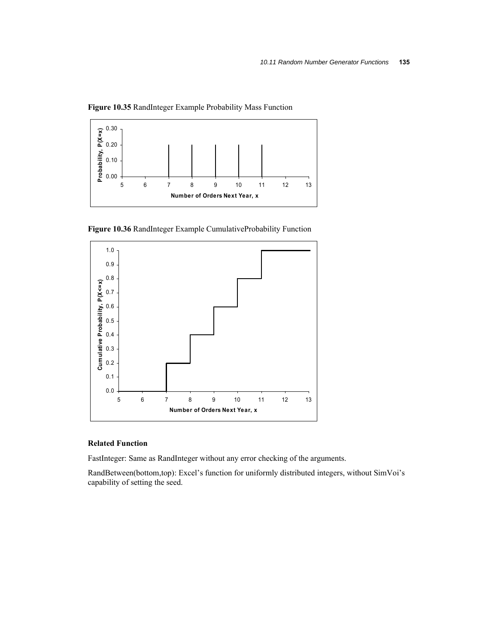

**Figure 10.35** RandInteger Example Probability Mass Function

**Figure 10.36** RandInteger Example CumulativeProbability Function



### **Related Function**

FastInteger: Same as RandInteger without any error checking of the arguments.

RandBetween(bottom,top): Excel's function for uniformly distributed integers, without SimVoi's capability of setting the seed.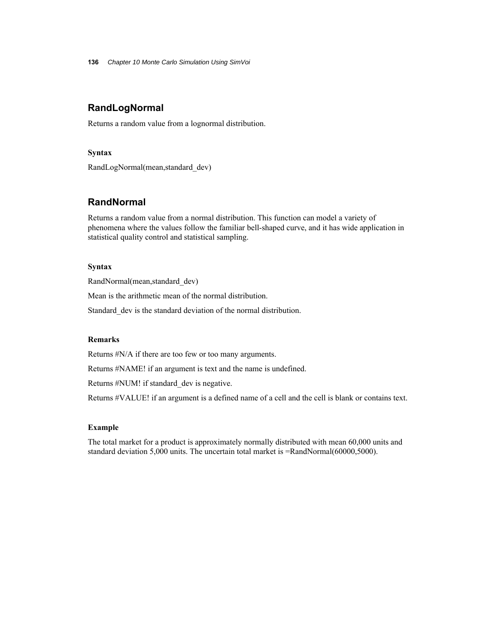**136** *Chapter 10 Monte Carlo Simulation Using SimVoi*

### **RandLogNormal**

Returns a random value from a lognormal distribution.

### **Syntax**

RandLogNormal(mean,standard\_dev)

### **RandNormal**

Returns a random value from a normal distribution. This function can model a variety of phenomena where the values follow the familiar bell-shaped curve, and it has wide application in statistical quality control and statistical sampling.

### **Syntax**

RandNormal(mean,standard\_dev)

Mean is the arithmetic mean of the normal distribution.

Standard dev is the standard deviation of the normal distribution.

### **Remarks**

Returns #N/A if there are too few or too many arguments.

Returns #NAME! if an argument is text and the name is undefined.

Returns #NUM! if standard\_dev is negative.

Returns #VALUE! if an argument is a defined name of a cell and the cell is blank or contains text.

#### **Example**

The total market for a product is approximately normally distributed with mean 60,000 units and standard deviation 5,000 units. The uncertain total market is =RandNormal(60000,5000).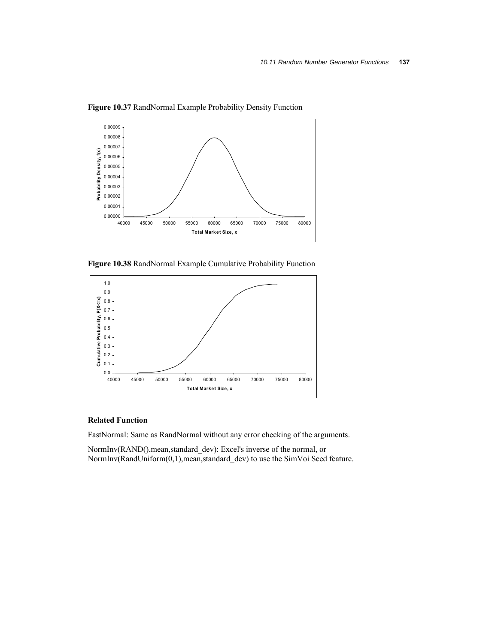

**Figure 10.37** RandNormal Example Probability Density Function

**Figure 10.38** RandNormal Example Cumulative Probability Function



### **Related Function**

FastNormal: Same as RandNormal without any error checking of the arguments.

NormInv(RAND(),mean,standard\_dev): Excel's inverse of the normal, or NormInv(RandUniform(0,1),mean,standard\_dev) to use the SimVoi Seed feature.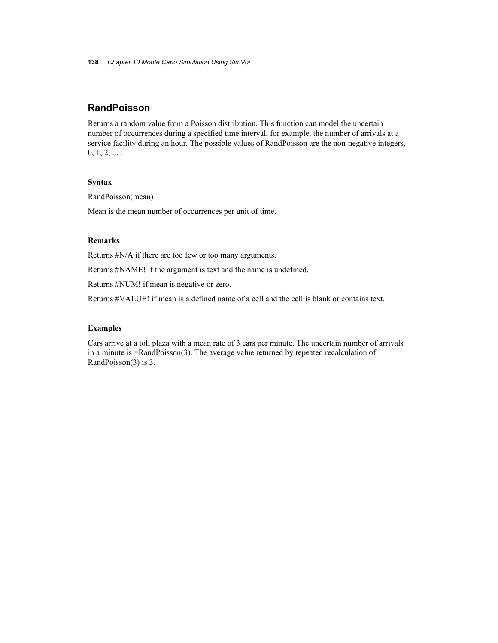### **RandPoisson**

Returns a random value from a Poisson distribution. This function can model the uncertain number of occurrences during a specified time interval, for example, the number of arrivals at a service facility during an hour. The possible values of RandPoisson are the non-negative integers,  $0, 1, 2, \ldots$ .

#### **Syntax**

RandPoisson(mean)

Mean is the mean number of occurrences per unit of time.

### **Remarks**

Returns #N/A if there are too few or too many arguments.

Returns #NAME! if the argument is text and the name is undefined.

Returns #NUM! if mean is negative or zero.

Returns #VALUE! if mean is a defined name of a cell and the cell is blank or contains text.

#### **Examples**

Cars arrive at a toll plaza with a mean rate of 3 cars per minute. The uncertain number of arrivals in a minute is =RandPoisson(3). The average value returned by repeated recalculation of RandPoisson(3) is 3.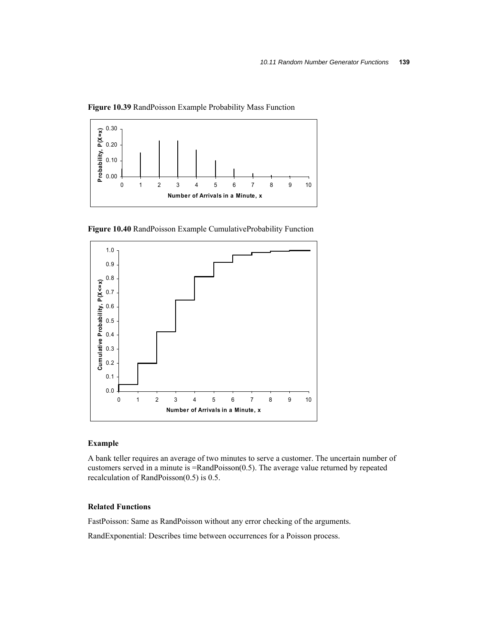

**Figure 10.39** RandPoisson Example Probability Mass Function

**Figure 10.40** RandPoisson Example CumulativeProbability Function



### **Example**

A bank teller requires an average of two minutes to serve a customer. The uncertain number of customers served in a minute is =RandPoisson(0.5). The average value returned by repeated recalculation of RandPoisson(0.5) is 0.5.

### **Related Functions**

FastPoisson: Same as RandPoisson without any error checking of the arguments.

RandExponential: Describes time between occurrences for a Poisson process.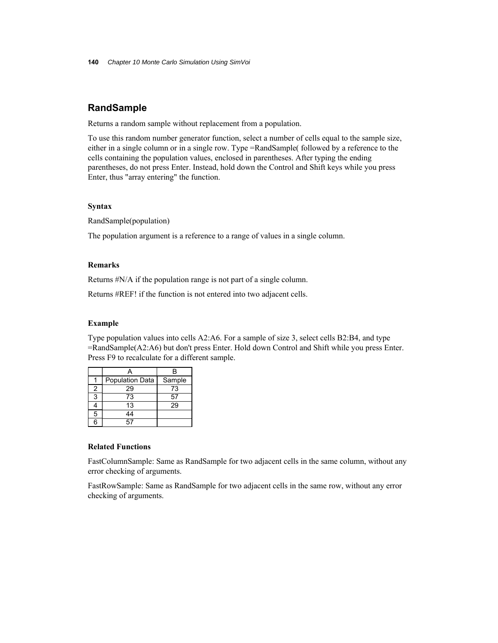### **RandSample**

Returns a random sample without replacement from a population.

To use this random number generator function, select a number of cells equal to the sample size, either in a single column or in a single row. Type =RandSample( followed by a reference to the cells containing the population values, enclosed in parentheses. After typing the ending parentheses, do not press Enter. Instead, hold down the Control and Shift keys while you press Enter, thus "array entering" the function.

### **Syntax**

RandSample(population)

The population argument is a reference to a range of values in a single column.

### **Remarks**

Returns #N/A if the population range is not part of a single column.

Returns #REF! if the function is not entered into two adjacent cells.

### **Example**

Type population values into cells A2:A6. For a sample of size 3, select cells B2:B4, and type =RandSample(A2:A6) but don't press Enter. Hold down Control and Shift while you press Enter. Press F9 to recalculate for a different sample.

|     | <b>Population Data</b> | Sample |
|-----|------------------------|--------|
| 2   | 29                     | 73     |
| 3   | 73                     | 57     |
|     | 13                     | 29     |
| 5   | 44                     |        |
| ี่ค |                        |        |

### **Related Functions**

FastColumnSample: Same as RandSample for two adjacent cells in the same column, without any error checking of arguments.

FastRowSample: Same as RandSample for two adjacent cells in the same row, without any error checking of arguments.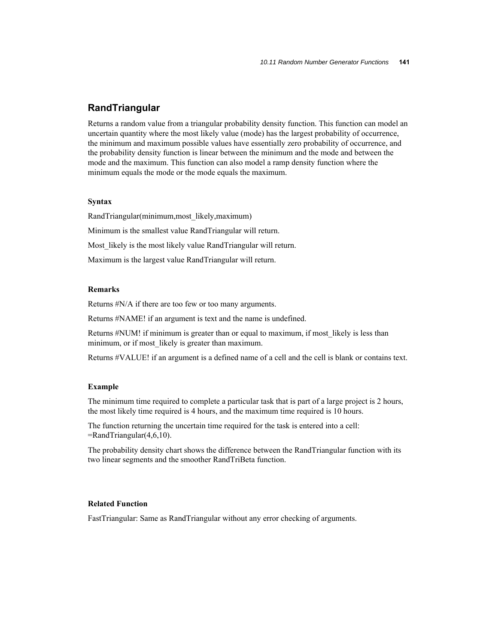### **RandTriangular**

Returns a random value from a triangular probability density function. This function can model an uncertain quantity where the most likely value (mode) has the largest probability of occurrence, the minimum and maximum possible values have essentially zero probability of occurrence, and the probability density function is linear between the minimum and the mode and between the mode and the maximum. This function can also model a ramp density function where the minimum equals the mode or the mode equals the maximum.

### **Syntax**

RandTriangular(minimum,most\_likely,maximum)

Minimum is the smallest value RandTriangular will return.

Most likely is the most likely value RandTriangular will return.

Maximum is the largest value RandTriangular will return.

### **Remarks**

Returns #N/A if there are too few or too many arguments.

Returns #NAME! if an argument is text and the name is undefined.

Returns #NUM! if minimum is greater than or equal to maximum, if most likely is less than minimum, or if most likely is greater than maximum.

Returns #VALUE! if an argument is a defined name of a cell and the cell is blank or contains text.

#### **Example**

The minimum time required to complete a particular task that is part of a large project is 2 hours, the most likely time required is 4 hours, and the maximum time required is 10 hours.

The function returning the uncertain time required for the task is entered into a cell: =RandTriangular(4,6,10).

The probability density chart shows the difference between the RandTriangular function with its two linear segments and the smoother RandTriBeta function.

### **Related Function**

FastTriangular: Same as RandTriangular without any error checking of arguments.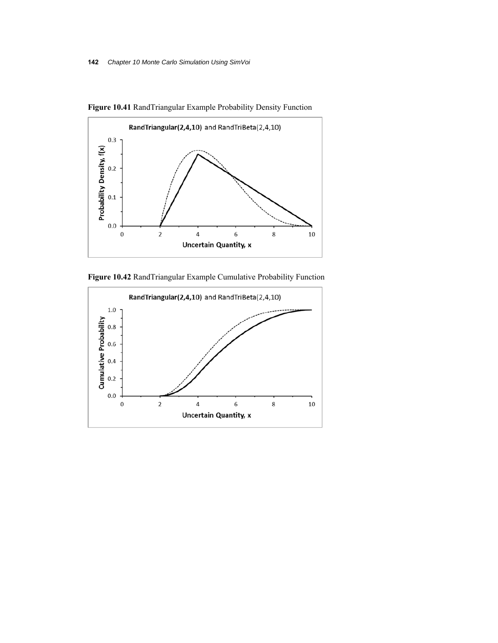

**Figure 10.41** RandTriangular Example Probability Density Function



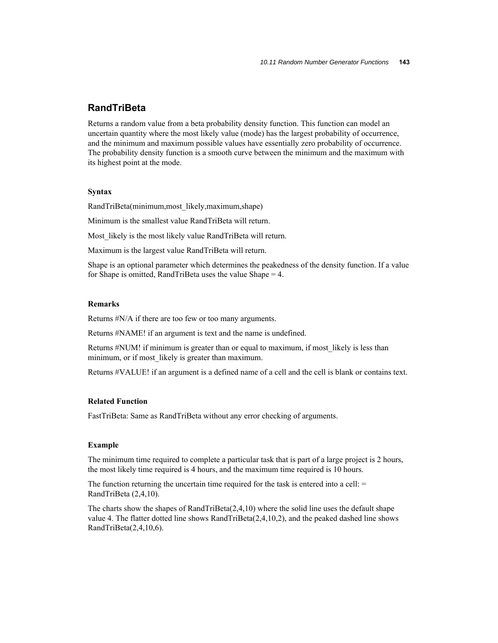### **RandTriBeta**

Returns a random value from a beta probability density function. This function can model an uncertain quantity where the most likely value (mode) has the largest probability of occurrence, and the minimum and maximum possible values have essentially zero probability of occurrence. The probability density function is a smooth curve between the minimum and the maximum with its highest point at the mode.

#### **Syntax**

RandTriBeta(minimum,most\_likely,maximum,shape)

Minimum is the smallest value RandTriBeta will return.

Most likely is the most likely value RandTriBeta will return.

Maximum is the largest value RandTriBeta will return.

Shape is an optional parameter which determines the peakedness of the density function. If a value for Shape is omitted, RandTriBeta uses the value Shape = 4.

### **Remarks**

Returns #N/A if there are too few or too many arguments.

Returns #NAME! if an argument is text and the name is undefined.

Returns #NUM! if minimum is greater than or equal to maximum, if most likely is less than minimum, or if most likely is greater than maximum.

Returns #VALUE! if an argument is a defined name of a cell and the cell is blank or contains text.

### **Related Function**

FastTriBeta: Same as RandTriBeta without any error checking of arguments.

#### **Example**

The minimum time required to complete a particular task that is part of a large project is 2 hours, the most likely time required is 4 hours, and the maximum time required is 10 hours.

The function returning the uncertain time required for the task is entered into a cell:  $=$ RandTriBeta (2,4,10).

The charts show the shapes of RandTriBeta $(2,4,10)$  where the solid line uses the default shape value 4. The flatter dotted line shows RandTriBeta(2,4,10,2), and the peaked dashed line shows RandTriBeta(2,4,10,6).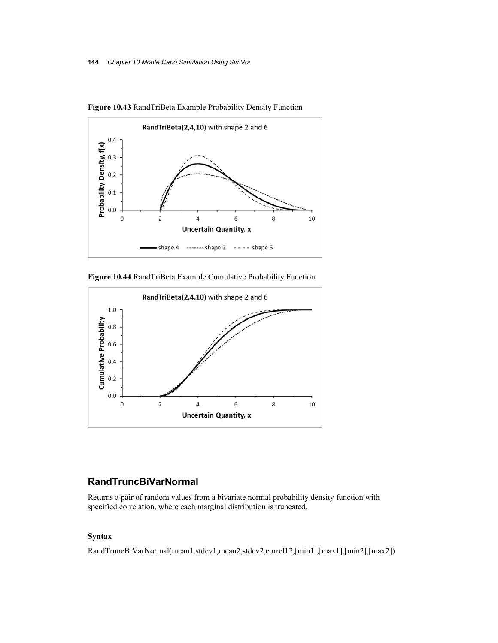

**Figure 10.43** RandTriBeta Example Probability Density Function

**Figure 10.44** RandTriBeta Example Cumulative Probability Function



### **RandTruncBiVarNormal**

Returns a pair of random values from a bivariate normal probability density function with specified correlation, where each marginal distribution is truncated.

### **Syntax**

RandTruncBiVarNormal(mean1,stdev1,mean2,stdev2,correl12,[min1],[max1],[min2],[max2])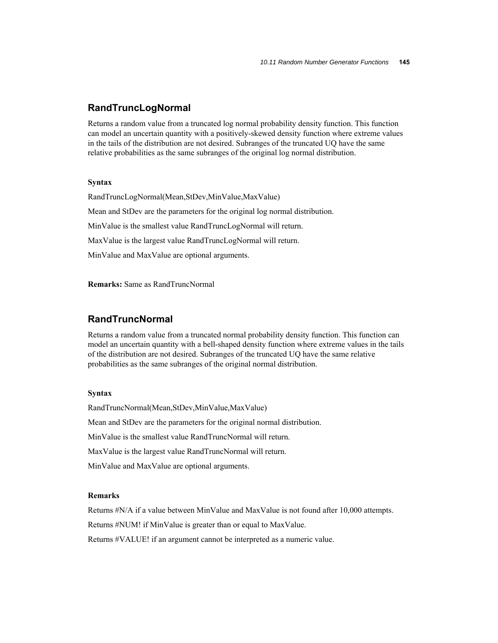### **RandTruncLogNormal**

Returns a random value from a truncated log normal probability density function. This function can model an uncertain quantity with a positively-skewed density function where extreme values in the tails of the distribution are not desired. Subranges of the truncated UQ have the same relative probabilities as the same subranges of the original log normal distribution.

### **Syntax**

RandTruncLogNormal(Mean,StDev,MinValue,MaxValue) Mean and StDev are the parameters for the original log normal distribution. MinValue is the smallest value RandTruncLogNormal will return. MaxValue is the largest value RandTruncLogNormal will return. MinValue and MaxValue are optional arguments.

**Remarks:** Same as RandTruncNormal

### **RandTruncNormal**

Returns a random value from a truncated normal probability density function. This function can model an uncertain quantity with a bell-shaped density function where extreme values in the tails of the distribution are not desired. Subranges of the truncated UQ have the same relative probabilities as the same subranges of the original normal distribution.

### **Syntax**

RandTruncNormal(Mean,StDev,MinValue,MaxValue) Mean and StDev are the parameters for the original normal distribution. MinValue is the smallest value RandTruncNormal will return. MaxValue is the largest value RandTruncNormal will return. MinValue and MaxValue are optional arguments.

### **Remarks**

Returns #N/A if a value between MinValue and MaxValue is not found after 10,000 attempts.

Returns #NUM! if MinValue is greater than or equal to MaxValue.

Returns #VALUE! if an argument cannot be interpreted as a numeric value.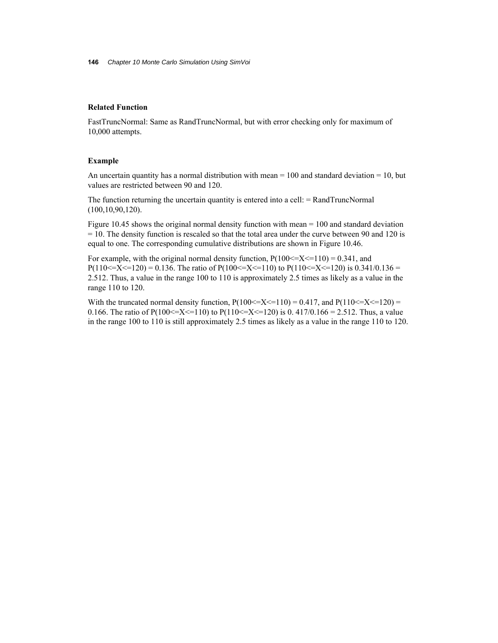### **Related Function**

FastTruncNormal: Same as RandTruncNormal, but with error checking only for maximum of 10,000 attempts.

#### **Example**

An uncertain quantity has a normal distribution with mean  $= 100$  and standard deviation  $= 10$ , but values are restricted between 90 and 120.

The function returning the uncertain quantity is entered into a cell: = RandTruncNormal (100,10,90,120).

Figure 10.45 shows the original normal density function with mean = 100 and standard deviation  $= 10$ . The density function is rescaled so that the total area under the curve between 90 and 120 is equal to one. The corresponding cumulative distributions are shown in Figure 10.46.

For example, with the original normal density function,  $P(100\leq X \leq 110) = 0.341$ , and P(110  $\leq$   $X \leq$  120) = 0.136. The ratio of P(100  $\leq$   $X \leq$  110) to P(110  $\leq$   $X \leq$  120) is 0.341/0.136 = 2.512. Thus, a value in the range 100 to 110 is approximately 2.5 times as likely as a value in the range 110 to 120.

With the truncated normal density function,  $P(100\leq X\leq 110) = 0.417$ , and  $P(110\leq X\leq 120) =$ 0.166. The ratio of P(100 <= X <= 110) to P(110 <= X <= 120) is 0.417/0.166 = 2.512. Thus, a value in the range 100 to 110 is still approximately 2.5 times as likely as a value in the range 110 to 120.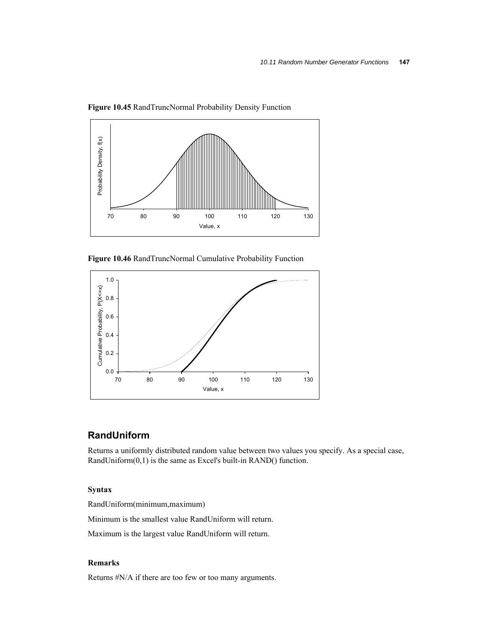

**Figure 10.45** RandTruncNormal Probability Density Function

**Figure 10.46** RandTruncNormal Cumulative Probability Function



### **RandUniform**

Returns a uniformly distributed random value between two values you specify. As a special case, RandUniform(0,1) is the same as Excel's built-in RAND() function.

### **Syntax**

RandUniform(minimum,maximum)

Minimum is the smallest value RandUniform will return.

Maximum is the largest value RandUniform will return.

### **Remarks**

Returns #N/A if there are too few or too many arguments.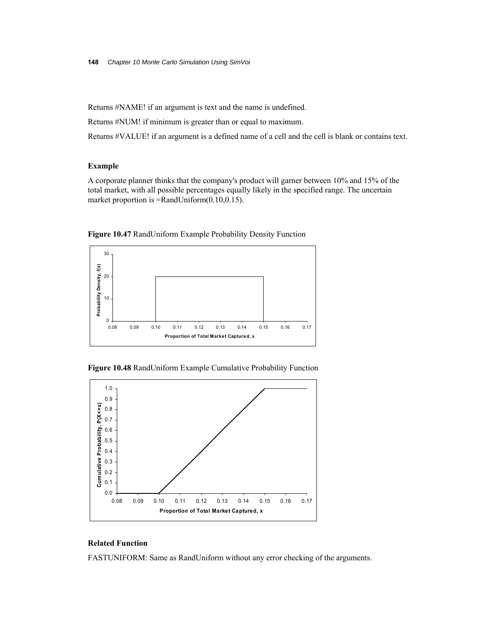Returns #NAME! if an argument is text and the name is undefined.

Returns #NUM! if minimum is greater than or equal to maximum.

Returns #VALUE! if an argument is a defined name of a cell and the cell is blank or contains text.

### **Example**

A corporate planner thinks that the company's product will garner between 10% and 15% of the total market, with all possible percentages equally likely in the specified range. The uncertain market proportion is =RandUniform(0.10,0.15).



**Figure 10.47** RandUniform Example Probability Density Function





### **Related Function**

FASTUNIFORM: Same as RandUniform without any error checking of the arguments.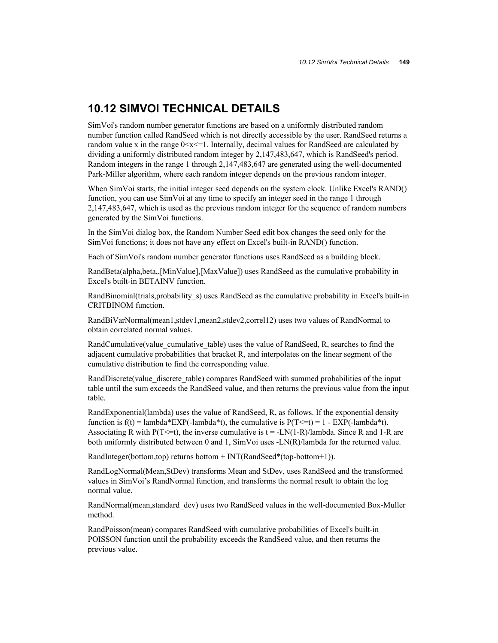### **10.12 SIMVOI TECHNICAL DETAILS**

SimVoi's random number generator functions are based on a uniformly distributed random number function called RandSeed which is not directly accessible by the user. RandSeed returns a random value x in the range  $0 \le x \le 1$ . Internally, decimal values for RandSeed are calculated by dividing a uniformly distributed random integer by 2,147,483,647, which is RandSeed's period. Random integers in the range 1 through 2,147,483,647 are generated using the well-documented Park-Miller algorithm, where each random integer depends on the previous random integer.

When SimVoi starts, the initial integer seed depends on the system clock. Unlike Excel's RAND() function, you can use SimVoi at any time to specify an integer seed in the range 1 through 2,147,483,647, which is used as the previous random integer for the sequence of random numbers generated by the SimVoi functions.

In the SimVoi dialog box, the Random Number Seed edit box changes the seed only for the SimVoi functions; it does not have any effect on Excel's built-in RAND() function.

Each of SimVoi's random number generator functions uses RandSeed as a building block.

RandBeta(alpha,beta,,[MinValue],[MaxValue]) uses RandSeed as the cumulative probability in Excel's built-in BETAINV function.

RandBinomial(trials,probability\_s) uses RandSeed as the cumulative probability in Excel's built-in CRITBINOM function.

RandBiVarNormal(mean1,stdev1,mean2,stdev2,correl12) uses two values of RandNormal to obtain correlated normal values.

RandCumulative(value\_cumulative\_table) uses the value of RandSeed, R, searches to find the adjacent cumulative probabilities that bracket R, and interpolates on the linear segment of the cumulative distribution to find the corresponding value.

RandDiscrete(value discrete table) compares RandSeed with summed probabilities of the input table until the sum exceeds the RandSeed value, and then returns the previous value from the input table.

RandExponential(lambda) uses the value of RandSeed, R, as follows. If the exponential density function is  $f(t) =$ lambda\*EXP(-lambda\*t), the cumulative is  $P(T \le t) = 1 - EXP(-\lambda^* t)$ . Associating R with P(T <= t), the inverse cumulative is  $t = -LN(1-R)/l$ ambda. Since R and 1-R are both uniformly distributed between 0 and 1, SimVoi uses -LN(R)/lambda for the returned value.

RandInteger(bottom,top) returns bottom + INT(RandSeed\*(top-bottom+1)).

RandLogNormal(Mean,StDev) transforms Mean and StDev, uses RandSeed and the transformed values in SimVoi's RandNormal function, and transforms the normal result to obtain the log normal value.

RandNormal(mean,standard\_dev) uses two RandSeed values in the well-documented Box-Muller method.

RandPoisson(mean) compares RandSeed with cumulative probabilities of Excel's built-in POISSON function until the probability exceeds the RandSeed value, and then returns the previous value.